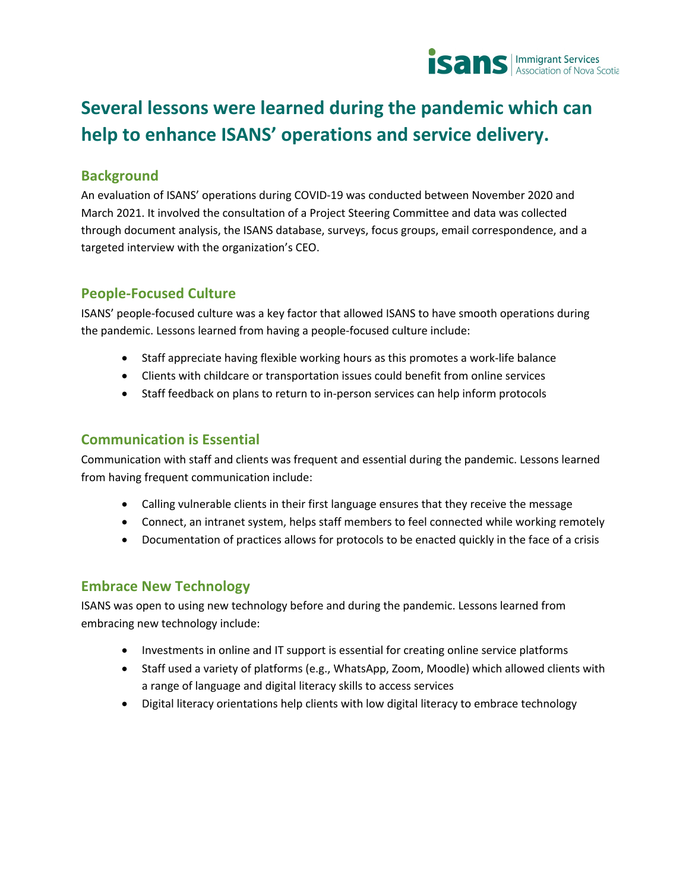

# **Several lessons were learned during the pandemic which can help to enhance ISANS' operations and service delivery.**

# **Background**

An evaluation of ISANS' operations during COVID-19 was conducted between November 2020 and March 2021. It involved the consultation of a Project Steering Committee and data was collected through document analysis, the ISANS database, surveys, focus groups, email correspondence, and a targeted interview with the organization's CEO.

#### **People-Focused Culture**

ISANS' people-focused culture was a key factor that allowed ISANS to have smooth operations during the pandemic. Lessons learned from having a people-focused culture include:

- Staff appreciate having flexible working hours as this promotes a work-life balance
- Clients with childcare or transportation issues could benefit from online services
- Staff feedback on plans to return to in-person services can help inform protocols

### **Communication is Essential**

Communication with staff and clients was frequent and essential during the pandemic. Lessons learned from having frequent communication include:

- Calling vulnerable clients in their first language ensures that they receive the message
- Connect, an intranet system, helps staff members to feel connected while working remotely
- Documentation of practices allows for protocols to be enacted quickly in the face of a crisis

#### **Embrace New Technology**

ISANS was open to using new technology before and during the pandemic. Lessons learned from embracing new technology include:

- Investments in online and IT support is essential for creating online service platforms
- Staff used a variety of platforms (e.g., WhatsApp, Zoom, Moodle) which allowed clients with a range of language and digital literacy skills to access services
- Digital literacy orientations help clients with low digital literacy to embrace technology